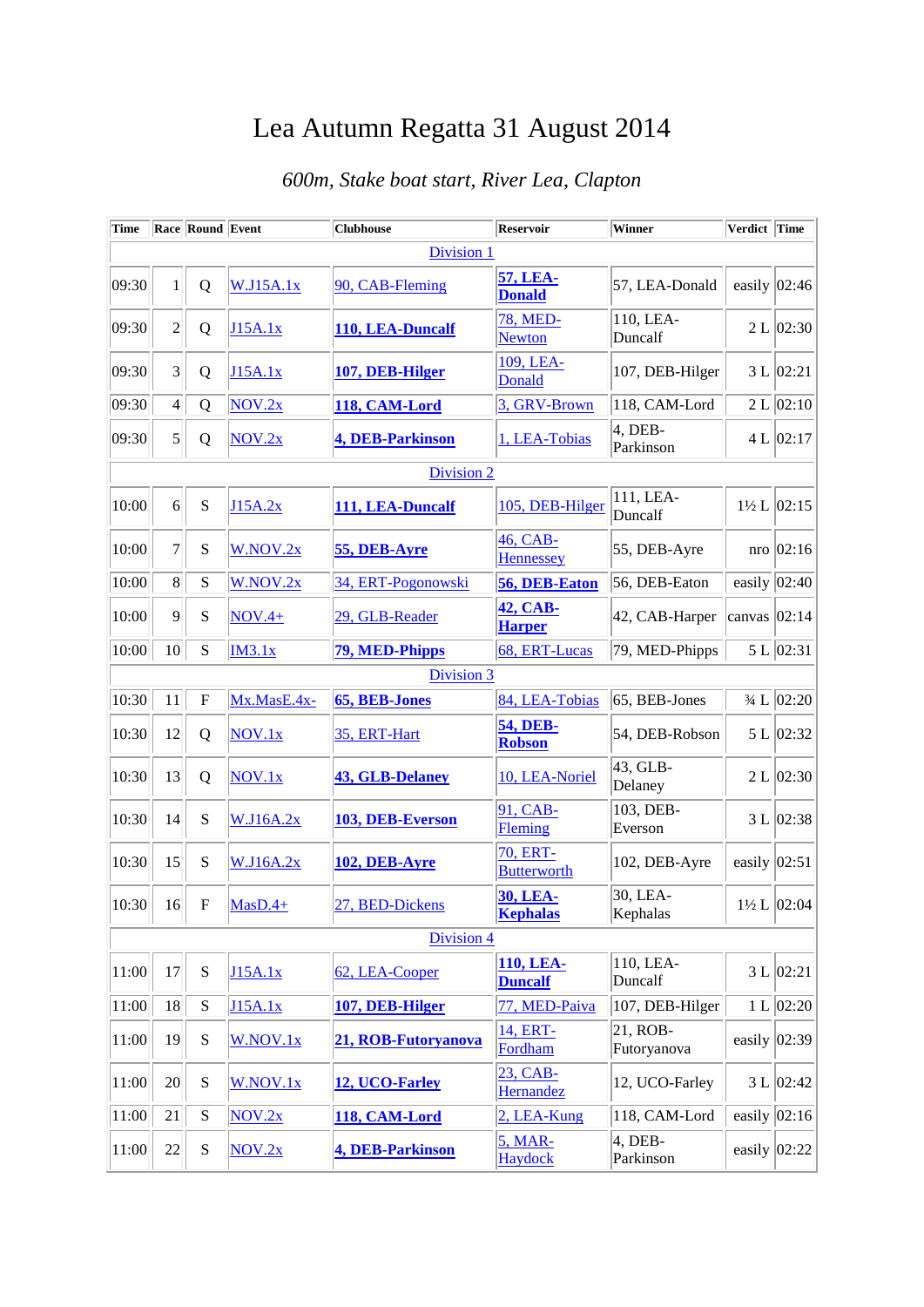## Lea Autumn Regatta 31 August 2014

## *600m, Stake boat start, River Lea, Clapton*

| <b>Time</b> |                         | Race Round Event |                  | <b>Clubhouse</b>        | <b>Reservoir</b>                 | Winner                  | Verdict Time     |                                            |
|-------------|-------------------------|------------------|------------------|-------------------------|----------------------------------|-------------------------|------------------|--------------------------------------------|
|             |                         |                  |                  | Division 1              |                                  |                         |                  |                                            |
| 09:30       | 1                       | Q                | <b>W.J15A.1x</b> | 90, CAB-Fleming         | <b>57, LEA-</b><br><b>Donald</b> | 57, LEA-Donald          |                  | easily $ 02:46 $                           |
| 09:30       | $\overline{2}$          | Q                | J15A.1x          | 110, LEA-Duncalf        | 78, MED-<br><b>Newton</b>        | 110, LEA-<br>Duncalf    |                  | 2 L   02:30                                |
| 09:30       | 3                       | Q                | J15A.1x          | 107, DEB-Hilger         | 109, LEA-<br>Donald              | 107, DEB-Hilger         |                  | 3 L   02:21                                |
| 09:30       | $\overline{\mathbf{4}}$ | Q                | NOV.2x           | 118, CAM-Lord           | 3, GRV-Brown                     | 118, CAM-Lord           |                  | 2 L   02:10                                |
| 09:30       | 5                       | Q                | NOV.2x           | <b>4, DEB-Parkinson</b> | 1, LEA-Tobias                    | $4,$ DEB-<br>Parkinson  |                  | 4 L   02:17                                |
|             |                         |                  |                  | Division 2              |                                  |                         |                  |                                            |
| 10:00       | 6                       | ${\bf S}$        | J15A.2x          | 111, LEA-Duncalf        | 105, DEB-Hilger                  | 111, LEA-<br>Duncalf    |                  | $1\frac{1}{2}$ L $ 02:15$                  |
| 10:00       | $\overline{7}$          | ${\bf S}$        | W.NOV.2x         | 55, DEB-Ayre            | 46, CAB-<br>Hennessey            | 55, DEB-Ayre            |                  | $\text{nro}$ 02:16                         |
| 10:00       | 8                       | ${\bf S}$        | W.NOV.2x         | 34, ERT-Pogonowski      | 56, DEB-Eaton                    | 56, DEB-Eaton           |                  | easily $ 02:40$                            |
| 10:00       | 9                       | ${\bf S}$        | $NOV.4+$         | 29, GLB-Reader          | 42, CAB-<br><b>Harper</b>        | 42, CAB-Harper          | canvas $ 02:14 $ |                                            |
| 10:00       | 10                      | S                | IM3.1x           | 79, MED-Phipps          | 68, ERT-Lucas                    | 79, MED-Phipps          |                  | 5 L   02:31                                |
|             |                         |                  |                  | <b>Division 3</b>       |                                  |                         |                  |                                            |
| 10:30       | 11                      | ${\bf F}$        | $Mx.MasE.4x-$    | 65, BEB-Jones           | 84, LEA-Tobias                   | 65, BEB-Jones           |                  | $\frac{3}{4}$ L $\left 02:20\right\rangle$ |
| 10:30       | 12                      | Q                | NOV.1x           | 35, ERT-Hart            | <b>54, DEB-</b><br>Robson        | 54, DEB-Robson          |                  | 5 L 02:32                                  |
| 10:30       | 13                      | Q                | NOV.1x           | <b>43, GLB-Delaney</b>  | 10, LEA-Noriel                   | 43, GLB-<br>Delaney     |                  | 2 L   02:30                                |
| 10:30       | 14                      | $\mathbf S$      | W.J16A.2x        | 103, DEB-Everson        | 91, CAB-<br>Fleming              | 103, DEB-<br>Everson    |                  | 3 L   02:38                                |
| 10:30       | 15                      | ${\bf S}$        | W.J16A.2x        | 102, DEB-Ayre           | 70, ERT-<br><b>Butterworth</b>   | 102, DEB-Ayre           |                  | easily $ 02:51$                            |
| 10:30       | 16                      | $\mathbf{F}$     | $MasD.4+$        | 27, BED-Dickens         | <b>30, LEA-</b><br>Kephalas      | 30, LEA-<br>Kephalas    |                  | $1\frac{1}{2}$ L 02:04                     |
|             |                         |                  |                  | <b>Division 4</b>       |                                  |                         |                  |                                            |
| 11:00       | 17                      | ${\bf S}$        | J15A.1x          | 62, LEA-Cooper          | 110, LEA-<br><b>Duncalf</b>      | 110, LEA-<br>Duncalf    |                  | 3 L   02:21                                |
| 11:00       | 18                      | S                | J15A.1x          | 107, DEB-Hilger         | 77, MED-Paiva                    | 107, DEB-Hilger         |                  | 1 L   02:20                                |
| 11:00       | 19                      | ${\bf S}$        | W.NOV.1x         | 21, ROB-Futoryanova     | 14, ERT-<br>Fordham              | 21, ROB-<br>Futoryanova |                  | easily $ 02:39 $                           |
| 11:00       | 20                      | S                | W.NOV.1x         | 12, UCO-Farley          | 23, CAB-<br>Hernandez            | 12, UCO-Farley          |                  | 3 L   02:42                                |
| 11:00       | 21                      | S                | NOV.2x           | 118, CAM-Lord           | 2, LEA-Kung                      | 118, CAM-Lord           |                  | easily $ 02:16 $                           |
| 11:00       | 22                      | ${\bf S}$        | NOV.2x           | 4, DEB-Parkinson        | 5, MAR-<br>Haydock               | 4, DEB-<br>Parkinson    |                  | easily $ 02:22\rangle$                     |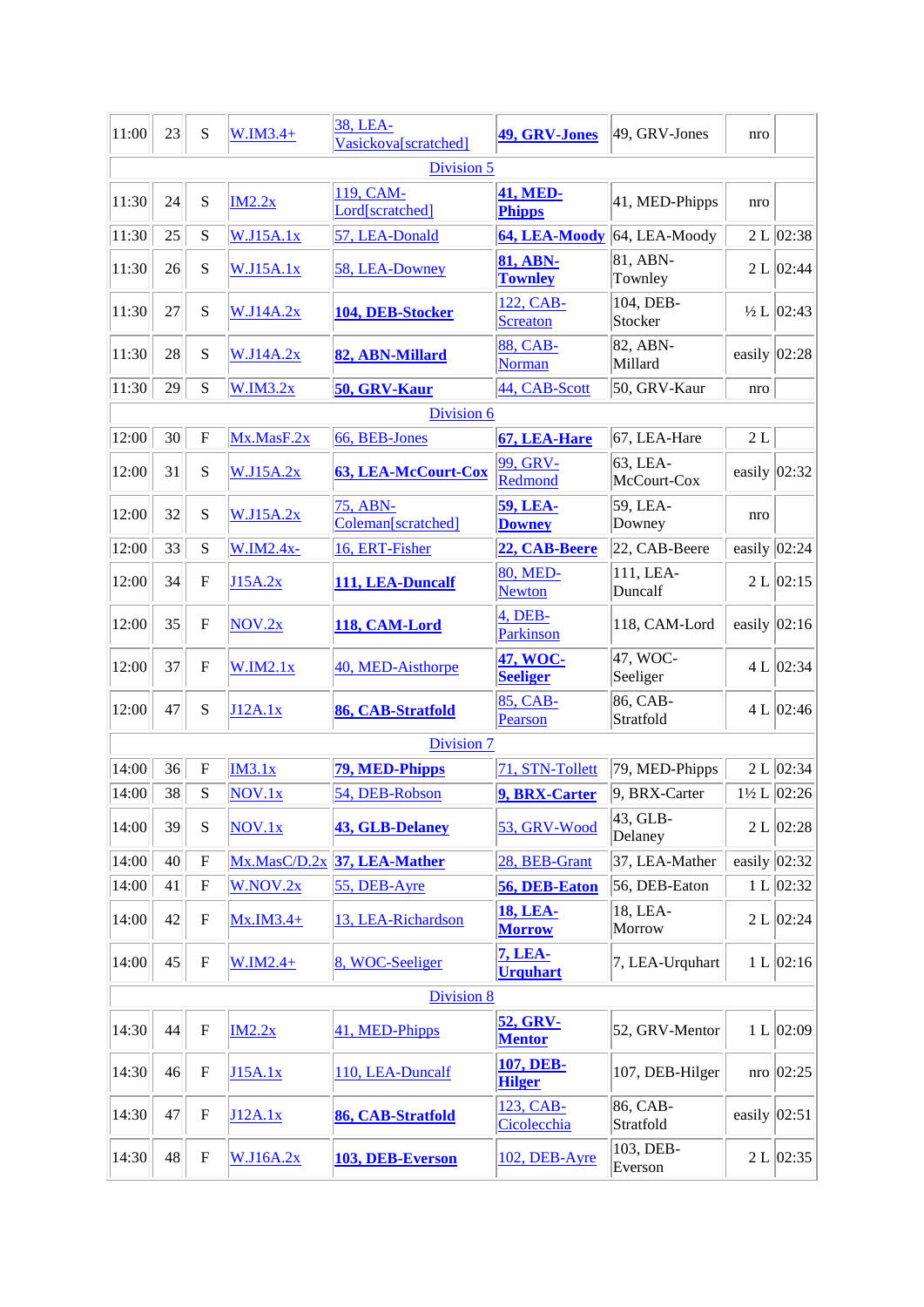| 11:00 | 23 | ${\bf S}$                 | $W.IM3.4+$       | 38, LEA-<br>Vasickova[scratched] | 49, GRV-Jones                     | $49$ , GRV-Jones        | nro |                         |
|-------|----|---------------------------|------------------|----------------------------------|-----------------------------------|-------------------------|-----|-------------------------|
|       |    |                           |                  | Division 5                       |                                   |                         |     |                         |
| 11:30 | 24 | S                         | IM2.2x           | 119, CAM-<br>Lord[scratched]     | <b>41, MED-</b><br><b>Phipps</b>  | 41, MED-Phipps          | nro |                         |
| 11:30 | 25 | ${\bf S}$                 | W.J15A.1x        | 57, LEA-Donald                   | 64, LEA-Moody                     | 64, LEA-Moody           |     | 2 L   02:38             |
| 11:30 | 26 | S                         | W.J15A.1x        | 58, LEA-Downey                   | <b>81, ABN-</b><br><b>Townley</b> | $81,$ ABN-<br>Townley   |     | 2 L   02:44             |
| 11:30 | 27 | ${\bf S}$                 | W.J14A.2x        | 104, DEB-Stocker                 | 122, CAB-<br><b>Screaton</b>      | 104, DEB-<br>Stocker    |     | $\frac{1}{2}$ L   02:43 |
| 11:30 | 28 | ${\bf S}$                 | W.J14A.2x        | 82, ABN-Millard                  | 88, CAB-<br>Norman                | 82, ABN-<br>Millard     |     | easily $ 02:28 $        |
| 11:30 | 29 | S                         | W.IM3.2x         | 50, GRV-Kaur                     | 44, CAB-Scott                     | 50, GRV-Kaur            | nro |                         |
|       |    |                           |                  | Division 6                       |                                   |                         |     |                         |
| 12:00 | 30 | $\boldsymbol{\mathrm{F}}$ | Mx.MasF.2x       | 66, BEB-Jones                    | 67, LEA-Hare                      | 67, LEA-Hare            | 2L  |                         |
| 12:00 | 31 | S                         | <b>W.J15A.2x</b> | 63, LEA-McCourt-Cox              | 99, GRV-<br>Redmond               | 63, LEA-<br>McCourt-Cox |     | easily $ 02:32 $        |
| 12:00 | 32 | S                         | W.J15A.2x        | 75, ABN-<br>Coleman[scratched]   | <b>59, LEA-</b><br><b>Downey</b>  | 59, LEA-<br>Downey      | nro |                         |
| 12:00 | 33 | ${\bf S}$                 | $W.IM2.4x-$      | 16, ERT-Fisher                   | 22, CAB-Beere                     | 22, CAB-Beere           |     | easily $ 02:24 $        |
| 12:00 | 34 | $\boldsymbol{\mathrm{F}}$ | J15A.2x          | 111, LEA-Duncalf                 | <b>80, MED-</b><br><b>Newton</b>  | 111, LEA-<br>Duncalf    |     | 2 L   02:15             |
| 12:00 | 35 | $\boldsymbol{\mathrm{F}}$ | NOV.2x           | 118, CAM-Lord                    | 4, DEB-<br>Parkinson              | 118, CAM-Lord           |     | easily $ 02:16 $        |
| 12:00 | 37 | $\boldsymbol{\mathrm{F}}$ | W.IM2.1x         | 40, MED-Aisthorpe                | 47, WOC-<br><b>Seeliger</b>       | $47$ , WOC-<br>Seeliger |     | 4 L   02:34             |
| 12:00 | 47 | ${\bf S}$                 | J12A.1x          | 86, CAB-Stratfold                | 85, CAB-<br>Pearson               | 86, CAB-<br>Stratfold   |     | 4 L   02:46             |
|       |    |                           |                  | <b>Division 7</b>                |                                   |                         |     |                         |
| 14:00 | 36 | $\boldsymbol{\mathrm{F}}$ | IM3.1x           | 79, MED-Phipps                   | 71, STN-Tollett                   | 79, MED-Phipps          |     | 2 L   02:34             |
| 14:00 | 38 | S                         | NOV.1x           | 54, DEB-Robson                   | 9, BRX-Carter                     | 9, BRX-Carter           |     | $1\frac{1}{2}$ L 02:26  |
| 14:00 | 39 | ${\bf S}$                 | NOV.1x           | 43, GLB-Delaney                  | 53, GRV-Wood                      | 43, GLB-<br>Delaney     |     | 2 L   02:28             |
| 14:00 | 40 | ${\bf F}$                 | Mx.MasC/D.2x     | 37, LEA-Mather                   | 28, BEB-Grant                     | 37, LEA-Mather          |     | easily $ 02:32 $        |
| 14:00 | 41 | $\boldsymbol{\mathrm{F}}$ | W.NOV.2x         | 55, DEB-Ayre                     | 56, DEB-Eaton                     | 56, DEB-Eaton           |     | 1 L   02:32             |
| 14:00 | 42 | $\boldsymbol{\mathrm{F}}$ | $Mx.IM3.4+$      | 13, LEA-Richardson               | <b>18, LEA-</b><br><b>Morrow</b>  | 18, LEA-<br>Morrow      |     | 2 L   02:24             |
| 14:00 | 45 | $\boldsymbol{\mathrm{F}}$ | $W.IM2.4+$       | 8, WOC-Seeliger                  | 7, LEA-<br><b>Urquhart</b>        | 7, LEA-Urquhart         |     | 1 L   02:16             |
|       |    |                           |                  | <b>Division 8</b>                |                                   |                         |     |                         |
| 14:30 | 44 | ${\bf F}$                 | IM2.2x           | 41, MED-Phipps                   | <b>52, GRV-</b><br><b>Mentor</b>  | 52, GRV-Mentor          |     | 1 L   02:09             |
| 14:30 | 46 | $\boldsymbol{\mathrm{F}}$ | J15A.1x          | 110, LEA-Duncalf                 | 107, DEB-<br><b>Hilger</b>        | 107, DEB-Hilger         | nro | 02:25                   |
| 14:30 | 47 | ${\bf F}$                 | J12A.1x          | 86, CAB-Stratfold                | 123, CAB-<br>Cicolecchia          | 86, CAB-<br>Stratfold   |     | easily $ 02:51 $        |
| 14:30 | 48 | ${\bf F}$                 | W.J16A.2x        | 103, DEB-Everson                 | 102, DEB-Ayre                     | 103, DEB-<br>Everson    |     | 2 L   02:35             |